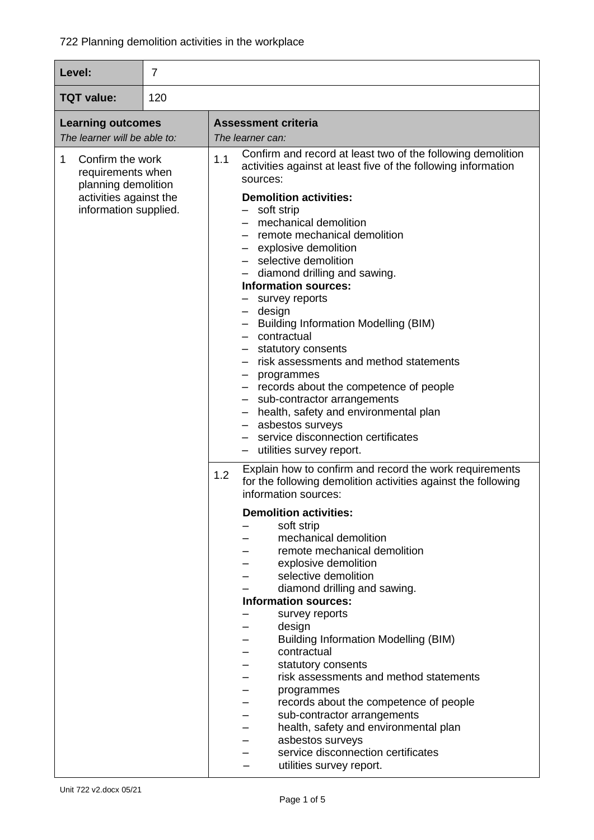| $\overline{7}$<br>Level:                                                                                             |  |                                                                                                                                                                                                                                                                                                                                                                                                                                                                                                                                                                                                                                                                                                                                                                                       |
|----------------------------------------------------------------------------------------------------------------------|--|---------------------------------------------------------------------------------------------------------------------------------------------------------------------------------------------------------------------------------------------------------------------------------------------------------------------------------------------------------------------------------------------------------------------------------------------------------------------------------------------------------------------------------------------------------------------------------------------------------------------------------------------------------------------------------------------------------------------------------------------------------------------------------------|
| <b>TQT value:</b><br>120                                                                                             |  |                                                                                                                                                                                                                                                                                                                                                                                                                                                                                                                                                                                                                                                                                                                                                                                       |
| <b>Learning outcomes</b><br>The learner will be able to:                                                             |  | <b>Assessment criteria</b><br>The learner can:                                                                                                                                                                                                                                                                                                                                                                                                                                                                                                                                                                                                                                                                                                                                        |
| 1<br>Confirm the work<br>requirements when<br>planning demolition<br>activities against the<br>information supplied. |  | Confirm and record at least two of the following demolition<br>1.1<br>activities against at least five of the following information<br>sources:<br><b>Demolition activities:</b><br>- soft strip<br>- mechanical demolition<br>- remote mechanical demolition<br>- explosive demolition<br>- selective demolition<br>- diamond drilling and sawing.<br><b>Information sources:</b><br>- survey reports<br>- design<br>- Building Information Modelling (BIM)<br>- contractual<br>- statutory consents<br>- risk assessments and method statements<br>- programmes<br>- records about the competence of people<br>- sub-contractor arrangements<br>- health, safety and environmental plan<br>- asbestos surveys<br>- service disconnection certificates<br>- utilities survey report. |
|                                                                                                                      |  | Explain how to confirm and record the work requirements<br>1.2<br>for the following demolition activities against the following<br>information sources:<br><b>Demolition activities:</b><br>soft strip<br>mechanical demolition<br>remote mechanical demolition<br>explosive demolition<br>selective demolition<br>diamond drilling and sawing.<br><b>Information sources:</b><br>survey reports<br>design<br><b>Building Information Modelling (BIM)</b><br>contractual<br>statutory consents<br>risk assessments and method statements<br>programmes<br>records about the competence of people<br>sub-contractor arrangements<br>health, safety and environmental plan<br>asbestos surveys<br>service disconnection certificates<br>utilities survey report.                        |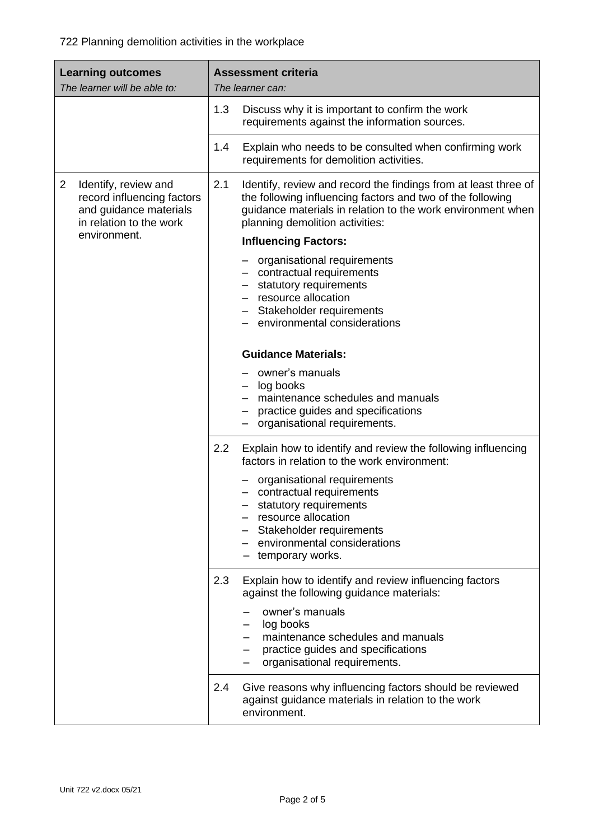| <b>Learning outcomes</b><br>The learner will be able to:                                                                  | <b>Assessment criteria</b><br>The learner can:                                                                                                                                                                                         |  |  |
|---------------------------------------------------------------------------------------------------------------------------|----------------------------------------------------------------------------------------------------------------------------------------------------------------------------------------------------------------------------------------|--|--|
|                                                                                                                           | Discuss why it is important to confirm the work<br>1.3<br>requirements against the information sources.                                                                                                                                |  |  |
|                                                                                                                           | 1.4<br>Explain who needs to be consulted when confirming work<br>requirements for demolition activities.                                                                                                                               |  |  |
| $\overline{2}$<br>Identify, review and<br>record influencing factors<br>and guidance materials<br>in relation to the work | 2.1<br>Identify, review and record the findings from at least three of<br>the following influencing factors and two of the following<br>guidance materials in relation to the work environment when<br>planning demolition activities: |  |  |
| environment.                                                                                                              | <b>Influencing Factors:</b>                                                                                                                                                                                                            |  |  |
|                                                                                                                           | - organisational requirements<br>- contractual requirements<br>- statutory requirements<br>resource allocation<br>- Stakeholder requirements<br>- environmental considerations                                                         |  |  |
|                                                                                                                           | <b>Guidance Materials:</b>                                                                                                                                                                                                             |  |  |
|                                                                                                                           | owner's manuals<br>- log books<br>- maintenance schedules and manuals<br>practice guides and specifications<br>- organisational requirements.                                                                                          |  |  |
|                                                                                                                           | 2.2<br>Explain how to identify and review the following influencing<br>factors in relation to the work environment:                                                                                                                    |  |  |
|                                                                                                                           | - organisational requirements<br>- contractual requirements<br>statutory requirements<br>resource allocation<br>Stakeholder requirements<br>- environmental considerations<br>- temporary works.                                       |  |  |
|                                                                                                                           | Explain how to identify and review influencing factors<br>2.3<br>against the following guidance materials:                                                                                                                             |  |  |
|                                                                                                                           | owner's manuals<br>log books<br>maintenance schedules and manuals<br>practice guides and specifications<br>organisational requirements.                                                                                                |  |  |
|                                                                                                                           | 2.4<br>Give reasons why influencing factors should be reviewed<br>against guidance materials in relation to the work<br>environment.                                                                                                   |  |  |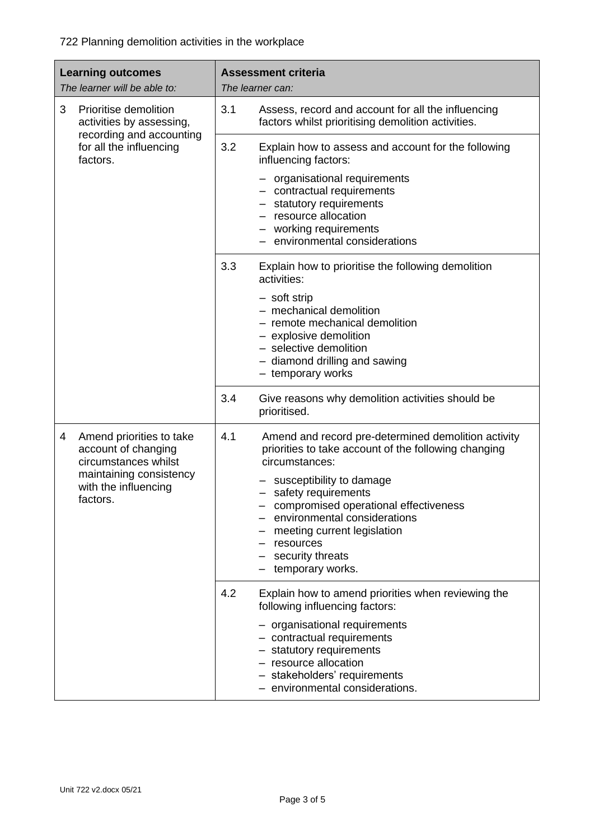722 Planning demolition activities in the workplace

| <b>Learning outcomes</b><br>The learner will be able to: |                                                                                                                                        | <b>Assessment criteria</b><br>The learner can: |                                                                                                                                                                                                                                                                                                                                               |
|----------------------------------------------------------|----------------------------------------------------------------------------------------------------------------------------------------|------------------------------------------------|-----------------------------------------------------------------------------------------------------------------------------------------------------------------------------------------------------------------------------------------------------------------------------------------------------------------------------------------------|
| 3                                                        | Prioritise demolition<br>activities by assessing,<br>recording and accounting<br>for all the influencing<br>factors.                   | 3.1                                            | Assess, record and account for all the influencing<br>factors whilst prioritising demolition activities.                                                                                                                                                                                                                                      |
|                                                          |                                                                                                                                        | 3.2                                            | Explain how to assess and account for the following<br>influencing factors:                                                                                                                                                                                                                                                                   |
|                                                          |                                                                                                                                        |                                                | - organisational requirements<br>- contractual requirements<br>- statutory requirements<br>- resource allocation<br>- working requirements<br>environmental considerations                                                                                                                                                                    |
|                                                          |                                                                                                                                        | 3.3                                            | Explain how to prioritise the following demolition<br>activities:                                                                                                                                                                                                                                                                             |
|                                                          |                                                                                                                                        |                                                | - soft strip<br>- mechanical demolition<br>- remote mechanical demolition<br>- explosive demolition<br>- selective demolition<br>- diamond drilling and sawing<br>- temporary works                                                                                                                                                           |
|                                                          |                                                                                                                                        | 3.4                                            | Give reasons why demolition activities should be<br>prioritised.                                                                                                                                                                                                                                                                              |
| 4                                                        | Amend priorities to take<br>account of changing<br>circumstances whilst<br>maintaining consistency<br>with the influencing<br>factors. | 4.1                                            | Amend and record pre-determined demolition activity<br>priorities to take account of the following changing<br>circumstances:<br>susceptibility to damage<br>safety requirements<br>compromised operational effectiveness<br>environmental considerations<br>meeting current legislation<br>resources<br>security threats<br>temporary works. |
|                                                          |                                                                                                                                        | 4.2                                            | Explain how to amend priorities when reviewing the<br>following influencing factors:<br>- organisational requirements<br>- contractual requirements<br>- statutory requirements<br>- resource allocation<br>- stakeholders' requirements<br>environmental considerations.                                                                     |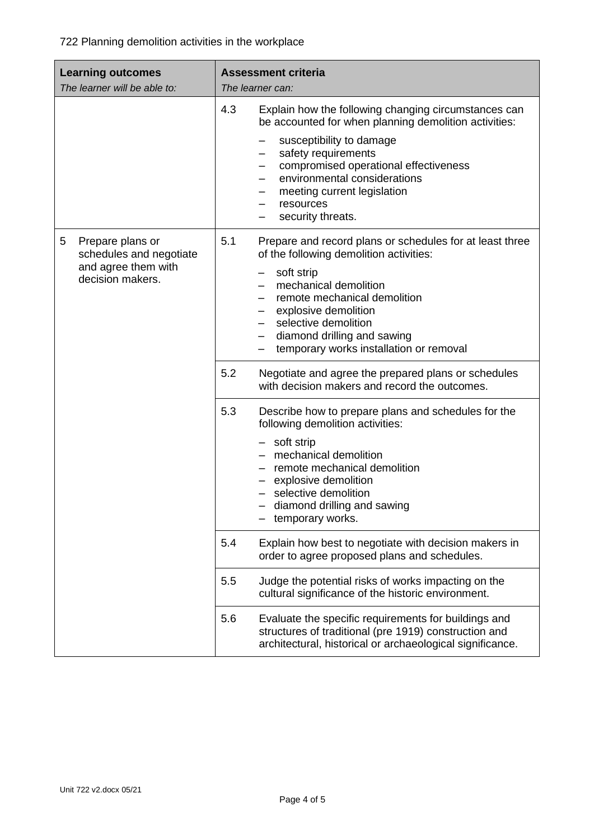| <b>Learning outcomes</b><br>The learner will be able to:                                    | <b>Assessment criteria</b><br>The learner can:                                                                                                                                                                                                                                                                                                              |  |  |
|---------------------------------------------------------------------------------------------|-------------------------------------------------------------------------------------------------------------------------------------------------------------------------------------------------------------------------------------------------------------------------------------------------------------------------------------------------------------|--|--|
|                                                                                             | 4.3<br>Explain how the following changing circumstances can<br>be accounted for when planning demolition activities:<br>susceptibility to damage<br>safety requirements<br>$\qquad \qquad -$<br>compromised operational effectiveness<br>$\qquad \qquad -$<br>environmental considerations<br>meeting current legislation<br>resources<br>security threats. |  |  |
| 5<br>Prepare plans or<br>schedules and negotiate<br>and agree them with<br>decision makers. | 5.1<br>Prepare and record plans or schedules for at least three<br>of the following demolition activities:<br>soft strip<br>mechanical demolition<br>remote mechanical demolition<br>explosive demolition<br>selective demolition<br>$\qquad \qquad -$<br>diamond drilling and sawing<br>temporary works installation or removal                            |  |  |
|                                                                                             | 5.2<br>Negotiate and agree the prepared plans or schedules<br>with decision makers and record the outcomes.                                                                                                                                                                                                                                                 |  |  |
|                                                                                             | 5.3<br>Describe how to prepare plans and schedules for the<br>following demolition activities:<br>- soft strip<br>mechanical demolition<br>remote mechanical demolition<br>explosive demolition<br>selective demolition<br>diamond drilling and sawing<br>temporary works.                                                                                  |  |  |
|                                                                                             | 5.4<br>Explain how best to negotiate with decision makers in<br>order to agree proposed plans and schedules.                                                                                                                                                                                                                                                |  |  |
|                                                                                             | 5.5<br>Judge the potential risks of works impacting on the<br>cultural significance of the historic environment.                                                                                                                                                                                                                                            |  |  |
|                                                                                             | 5.6<br>Evaluate the specific requirements for buildings and<br>structures of traditional (pre 1919) construction and<br>architectural, historical or archaeological significance.                                                                                                                                                                           |  |  |